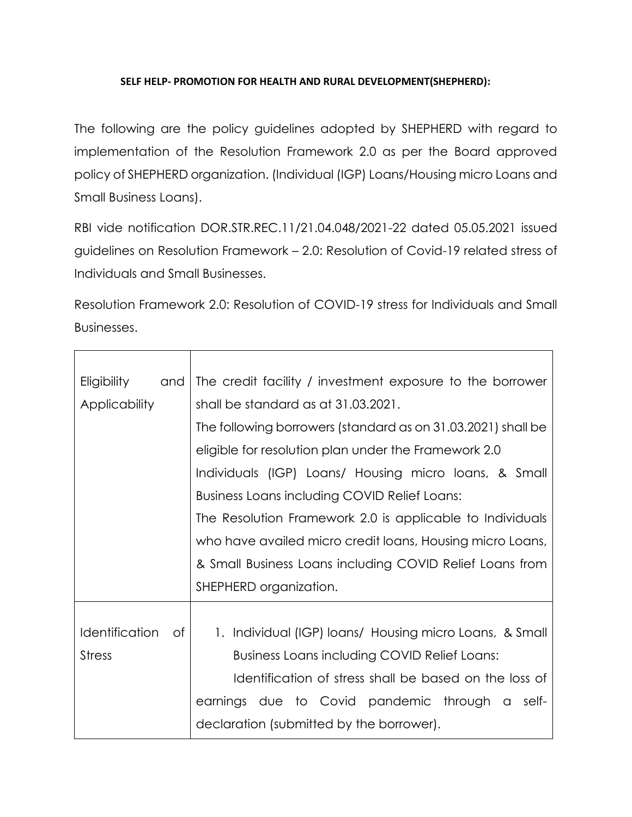## **SELF HELP- PROMOTION FOR HEALTH AND RURAL DEVELOPMENT(SHEPHERD):**

The following are the policy guidelines adopted by SHEPHERD with regard to implementation of the Resolution Framework 2.0 as per the Board approved policy of SHEPHERD organization. (Individual (IGP) Loans/Housing micro Loans and Small Business Loans).

RBI vide notification DOR.STR.REC.11/21.04.048/2021-22 dated 05.05.2021 issued guidelines on Resolution Framework – 2.0: Resolution of Covid-19 related stress of Individuals and Small Businesses.

Resolution Framework 2.0: Resolution of COVID-19 stress for Individuals and Small Businesses.

| Eligibility and      | The credit facility / investment exposure to the borrower    |
|----------------------|--------------------------------------------------------------|
| <b>Applicability</b> | shall be standard as at 31.03.2021.                          |
|                      | The following borrowers (standard as on 31.03.2021) shall be |
|                      | eligible for resolution plan under the Framework 2.0         |
|                      | Individuals (IGP) Loans/ Housing micro loans, & Small        |
|                      | Business Loans including COVID Relief Loans:                 |
|                      | The Resolution Framework 2.0 is applicable to Individuals    |
|                      | who have availed micro credit loans, Housing micro Loans,    |
|                      | & Small Business Loans including COVID Relief Loans from     |
|                      | SHEPHERD organization.                                       |
|                      |                                                              |
| Identification of    | 1. Individual (IGP) loans/ Housing micro Loans, & Small      |
| <b>Stress</b>        | <b>Business Loans including COVID Relief Loans:</b>          |
|                      | Identification of stress shall be based on the loss of       |
|                      | earnings due to Covid pandemic through a self-               |
|                      | declaration (submitted by the borrower).                     |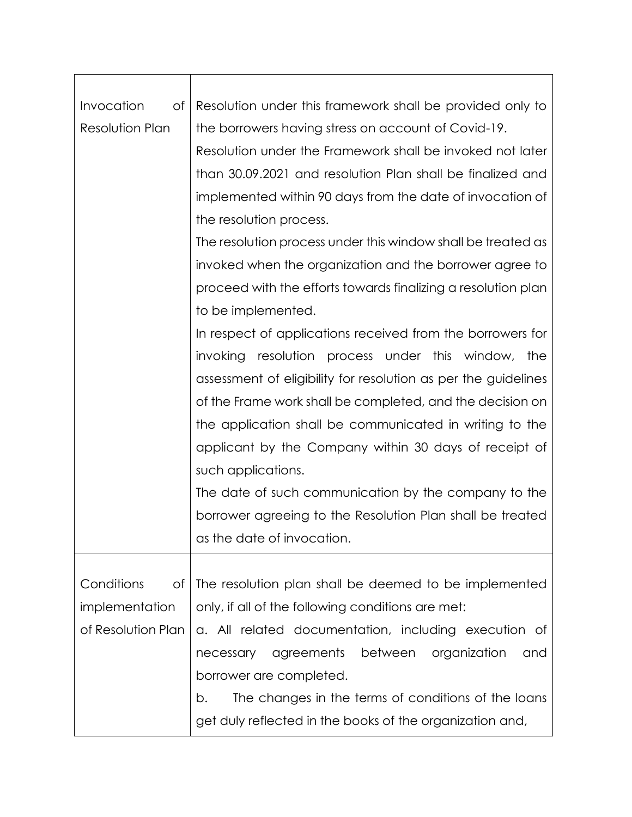| Invocation<br>оf       | Resolution under this framework shall be provided only to      |
|------------------------|----------------------------------------------------------------|
| <b>Resolution Plan</b> | the borrowers having stress on account of Covid-19.            |
|                        | Resolution under the Framework shall be invoked not later      |
|                        | than 30.09.2021 and resolution Plan shall be finalized and     |
|                        | implemented within 90 days from the date of invocation of      |
|                        | the resolution process.                                        |
|                        | The resolution process under this window shall be treated as   |
|                        | invoked when the organization and the borrower agree to        |
|                        | proceed with the efforts towards finalizing a resolution plan  |
|                        | to be implemented.                                             |
|                        | In respect of applications received from the borrowers for     |
|                        | invoking resolution process under this window,<br>the          |
|                        | assessment of eligibility for resolution as per the guidelines |
|                        | of the Frame work shall be completed, and the decision on      |
|                        | the application shall be communicated in writing to the        |
|                        | applicant by the Company within 30 days of receipt of          |
|                        | such applications.                                             |
|                        | The date of such communication by the company to the           |
|                        | borrower agreeing to the Resolution Plan shall be treated      |
|                        | as the date of invocation                                      |
|                        |                                                                |
| Conditions<br>of       | The resolution plan shall be deemed to be implemented          |
| implementation         | only, if all of the following conditions are met:              |
| of Resolution Plan     | a. All related documentation, including execution of           |
|                        | agreements between organization<br>necessary<br>and            |
|                        | borrower are completed.                                        |
|                        | The changes in the terms of conditions of the loans<br>b.      |
|                        | get duly reflected in the books of the organization and,       |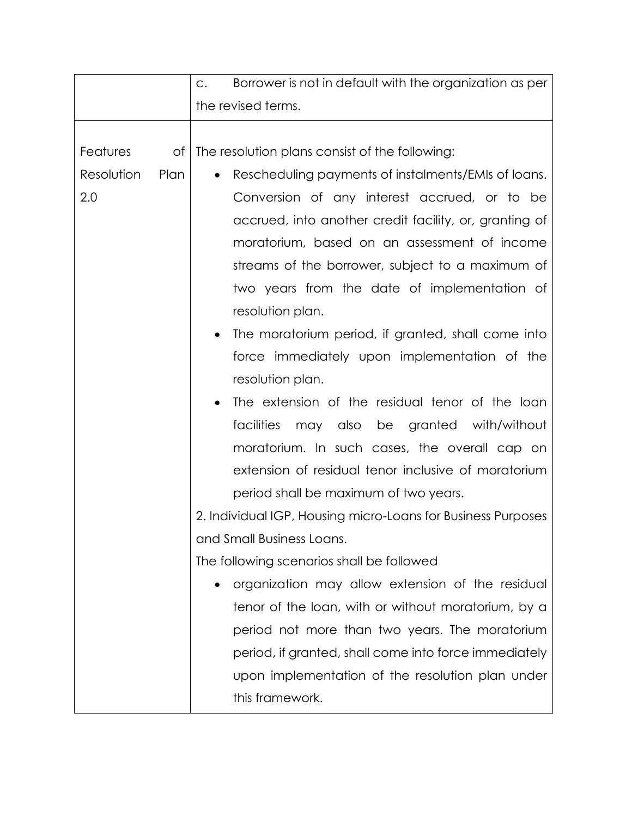|            |      | Borrower is not in default with the organization as per<br>C.    |
|------------|------|------------------------------------------------------------------|
|            |      | the revised terms.                                               |
|            |      |                                                                  |
| Features   | Οf   | The resolution plans consist of the following:                   |
| Resolution | Plan | Rescheduling payments of instalments/EMIs of loans.<br>$\bullet$ |
| 2.0        |      | Conversion of any interest accrued, or to be                     |
|            |      | accrued, into another credit facility, or, granting of           |
|            |      | moratorium, based on an assessment of income                     |
|            |      | streams of the borrower, subject to a maximum of                 |
|            |      | two years from the date of implementation of                     |
|            |      | resolution plan.                                                 |
|            |      | The moratorium period, if granted, shall come into<br>٠          |
|            |      | force immediately upon implementation of the                     |
|            |      | resolution plan.                                                 |
|            |      | The extension of the residual tenor of the loan                  |
|            |      | may also be granted with/without<br>facilities                   |
|            |      | moratorium. In such cases, the overall cap on                    |
|            |      | extension of residual tenor inclusive of moratorium              |
|            |      | period shall be maximum of two years.                            |
|            |      | 2. Individual IGP, Housing micro-Loans for Business Purposes     |
|            |      | and Small Business Loans.                                        |
|            |      | The following scenarios shall be followed                        |
|            |      | organization may allow extension of the residual<br>٠            |
|            |      | tenor of the loan, with or without moratorium, by a              |
|            |      | period not more than two years. The moratorium                   |
|            |      | period, if granted, shall come into force immediately            |
|            |      | upon implementation of the resolution plan under                 |
|            |      | this framework.                                                  |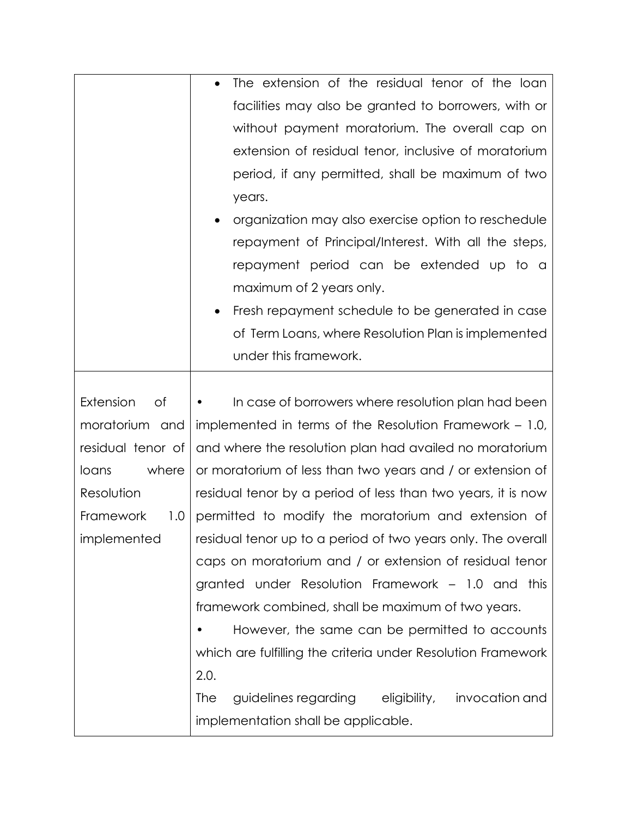|                   | The extension of the residual tenor of the loan                   |
|-------------------|-------------------------------------------------------------------|
|                   | facilities may also be granted to borrowers, with or              |
|                   | without payment moratorium. The overall cap on                    |
|                   | extension of residual tenor, inclusive of moratorium              |
|                   | period, if any permitted, shall be maximum of two                 |
|                   | years.                                                            |
|                   | organization may also exercise option to reschedule               |
|                   | repayment of Principal/Interest. With all the steps,              |
|                   | repayment period can be extended up to a                          |
|                   | maximum of 2 years only.                                          |
|                   | Fresh repayment schedule to be generated in case<br>٠             |
|                   | of Term Loans, where Resolution Plan is implemented               |
|                   | under this framework.                                             |
|                   |                                                                   |
| Extension<br>Οf   | In case of borrowers where resolution plan had been               |
| moratorium and    | implemented in terms of the Resolution Framework – 1.0,           |
| residual tenor of | and where the resolution plan had availed no moratorium           |
| where<br>loans    | or moratorium of less than two years and / or extension of        |
| Resolution        | residual tenor by a period of less than two years, it is now      |
| Framework<br>1.0  | permitted to modify the moratorium and extension of               |
| implemented       | residual tenor up to a period of two years only. The overall      |
|                   | caps on moratorium and / or extension of residual tenor           |
|                   | granted under Resolution Framework – 1.0 and<br>this              |
|                   | framework combined, shall be maximum of two years.                |
|                   | However, the same can be permitted to accounts                    |
|                   | which are fulfilling the criteria under Resolution Framework      |
|                   | 2.0.                                                              |
|                   | guidelines regarding eligibility,<br>invocation and<br><b>The</b> |
|                   | implementation shall be applicable.                               |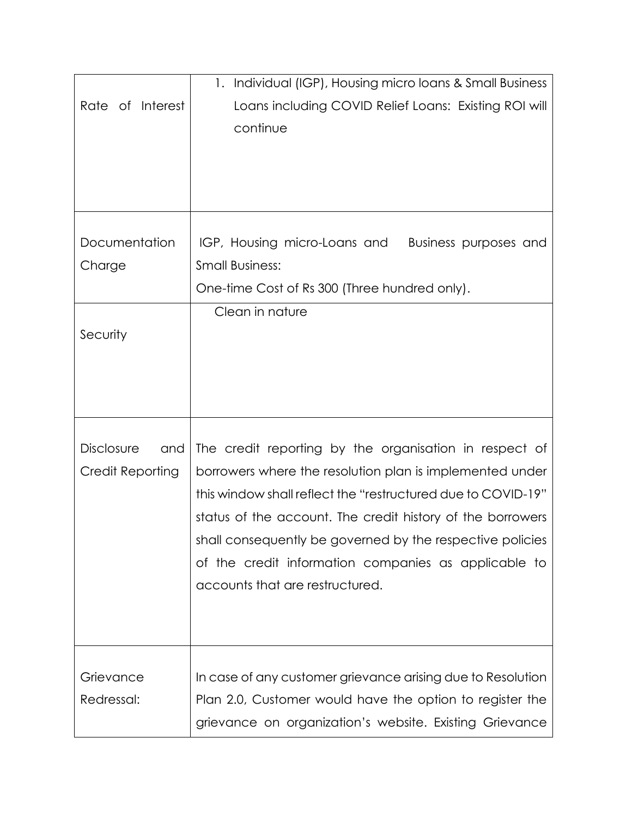|                          | Individual (IGP), Housing micro loans & Small Business<br>1. |
|--------------------------|--------------------------------------------------------------|
| Interest<br>Rate of      | Loans including COVID Relief Loans: Existing ROI will        |
|                          | continue                                                     |
|                          |                                                              |
|                          |                                                              |
|                          |                                                              |
|                          |                                                              |
| Documentation            | IGP, Housing micro-Loans and<br>Business purposes and        |
| Charge                   | <b>Small Business:</b>                                       |
|                          | One-time Cost of Rs 300 (Three hundred only).                |
|                          | Clean in nature                                              |
| Security                 |                                                              |
|                          |                                                              |
|                          |                                                              |
|                          |                                                              |
|                          |                                                              |
| <b>Disclosure</b><br>and | The credit reporting by the organisation in respect of       |
| Credit Reporting         | borrowers where the resolution plan is implemented under     |
|                          | this window shall reflect the "restructured due to COVID-19" |
|                          | status of the account. The credit history of the borrowers   |
|                          | shall consequently be governed by the respective policies    |
|                          | of the credit information companies as applicable to         |
|                          | accounts that are restructured.                              |
|                          |                                                              |
|                          |                                                              |
|                          |                                                              |
| Grievance                | In case of any customer grievance arising due to Resolution  |
| Redressal:               | Plan 2.0, Customer would have the option to register the     |
|                          | grievance on organization's website. Existing Grievance      |
|                          |                                                              |